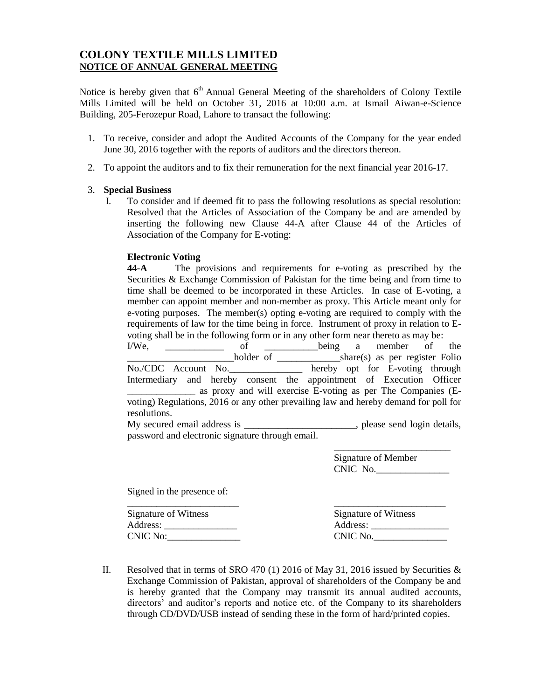# **COLONY TEXTILE MILLS LIMITED NOTICE OF ANNUAL GENERAL MEETING**

Notice is hereby given that 6<sup>th</sup> Annual General Meeting of the shareholders of Colony Textile Mills Limited will be held on October 31, 2016 at 10:00 a.m. at Ismail Aiwan-e-Science Building, 205-Ferozepur Road, Lahore to transact the following:

- 1. To receive, consider and adopt the Audited Accounts of the Company for the year ended June 30, 2016 together with the reports of auditors and the directors thereon.
- 2. To appoint the auditors and to fix their remuneration for the next financial year 2016-17.

#### 3. **Special Business**

I. To consider and if deemed fit to pass the following resolutions as special resolution: Resolved that the Articles of Association of the Company be and are amended by inserting the following new Clause 44-A after Clause 44 of the Articles of Association of the Company for E-voting:

### **Electronic Voting**

**44-A** The provisions and requirements for e-voting as prescribed by the Securities & Exchange Commission of Pakistan for the time being and from time to time shall be deemed to be incorporated in these Articles. In case of E-voting, a member can appoint member and non-member as proxy. This Article meant only for e-voting purposes. The member(s) opting e-voting are required to comply with the requirements of law for the time being in force. Instrument of proxy in relation to Evoting shall be in the following form or in any other form near thereto as may be: I/We, \_\_\_\_\_\_\_\_\_\_\_\_ of \_\_\_\_\_\_\_\_\_\_\_being a member of the \_\_\_\_\_\_\_\_\_\_\_\_\_\_\_\_\_\_\_\_\_\_holder of \_\_\_\_\_\_\_\_\_\_\_\_\_share(s) as per register Folio No./CDC Account No.\_\_\_\_\_\_\_\_\_\_\_\_\_\_\_ hereby opt for E-voting through Intermediary and hereby consent the appointment of Execution Officer \_\_\_\_\_\_\_\_\_\_\_\_\_\_ as proxy and will exercise E-voting as per The Companies (Evoting) Regulations, 2016 or any other prevailing law and hereby demand for poll for resolutions. My secured email address is \_\_\_\_\_\_\_\_\_\_\_\_\_\_\_\_\_\_\_\_\_, please send login details, password and electronic signature through email. \_\_\_\_\_\_\_\_\_\_\_\_\_\_\_\_\_\_\_\_\_\_\_\_

Signature of Member CNIC No.

Signed in the presence of:

Signature of Witness Signature of Witness

\_\_\_\_\_\_\_\_\_\_\_\_\_\_\_\_\_\_\_\_\_\_\_ \_\_\_\_\_\_\_\_\_\_\_\_\_\_\_\_\_\_\_\_\_\_\_ Address: \_\_\_\_\_\_\_\_\_\_\_\_\_\_\_ Address: \_\_\_\_\_\_\_\_\_\_\_\_\_\_\_\_ CNIC No:\_\_\_\_\_\_\_\_\_\_\_\_\_\_\_ CNIC No.\_\_\_\_\_\_\_\_\_\_\_\_\_\_\_

II. Resolved that in terms of SRO 470 (1) 2016 of May 31, 2016 issued by Securities & Exchange Commission of Pakistan, approval of shareholders of the Company be and is hereby granted that the Company may transmit its annual audited accounts, directors' and auditor's reports and notice etc. of the Company to its shareholders through CD/DVD/USB instead of sending these in the form of hard/printed copies.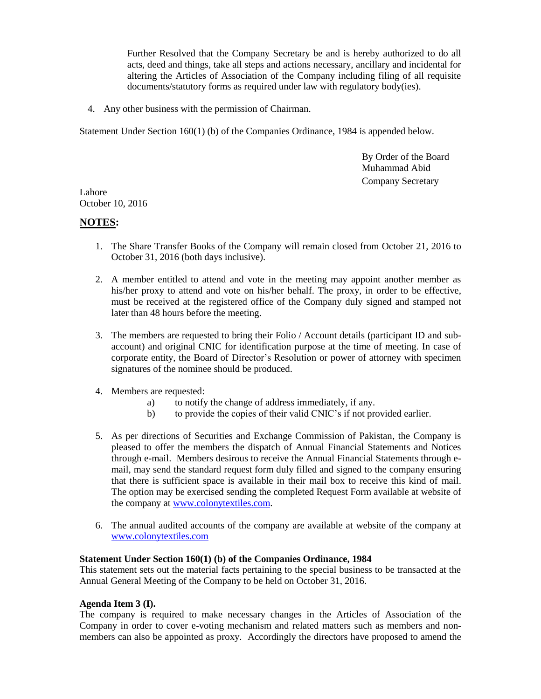Further Resolved that the Company Secretary be and is hereby authorized to do all acts, deed and things, take all steps and actions necessary, ancillary and incidental for altering the Articles of Association of the Company including filing of all requisite documents/statutory forms as required under law with regulatory body(ies).

4. Any other business with the permission of Chairman.

Statement Under Section 160(1) (b) of the Companies Ordinance, 1984 is appended below.

By Order of the Board Muhammad Abid Company Secretary

Lahore October 10, 2016

## **NOTES:**

- 1. The Share Transfer Books of the Company will remain closed from October 21, 2016 to October 31, 2016 (both days inclusive).
- 2. A member entitled to attend and vote in the meeting may appoint another member as his/her proxy to attend and vote on his/her behalf. The proxy, in order to be effective, must be received at the registered office of the Company duly signed and stamped not later than 48 hours before the meeting.
- 3. The members are requested to bring their Folio / Account details (participant ID and subaccount) and original CNIC for identification purpose at the time of meeting. In case of corporate entity, the Board of Director's Resolution or power of attorney with specimen signatures of the nominee should be produced.
- 4. Members are requested:
	- a) to notify the change of address immediately, if any.
	- b) to provide the copies of their valid CNIC's if not provided earlier.
- 5. As per directions of Securities and Exchange Commission of Pakistan, the Company is pleased to offer the members the dispatch of Annual Financial Statements and Notices through e-mail. Members desirous to receive the Annual Financial Statements through email, may send the standard request form duly filled and signed to the company ensuring that there is sufficient space is available in their mail box to receive this kind of mail. The option may be exercised sending the completed Request Form available at website of the company at [www.colonytextiles.com.](http://www.colonytextiles.com/)
- 6. The annual audited accounts of the company are available at website of the company at [www.colonytextiles.com](http://www.colonytextiles.com/)

### **Statement Under Section 160(1) (b) of the Companies Ordinance, 1984**

This statement sets out the material facts pertaining to the special business to be transacted at the Annual General Meeting of the Company to be held on October 31, 2016.

### **Agenda Item 3 (I).**

The company is required to make necessary changes in the Articles of Association of the Company in order to cover e-voting mechanism and related matters such as members and nonmembers can also be appointed as proxy. Accordingly the directors have proposed to amend the